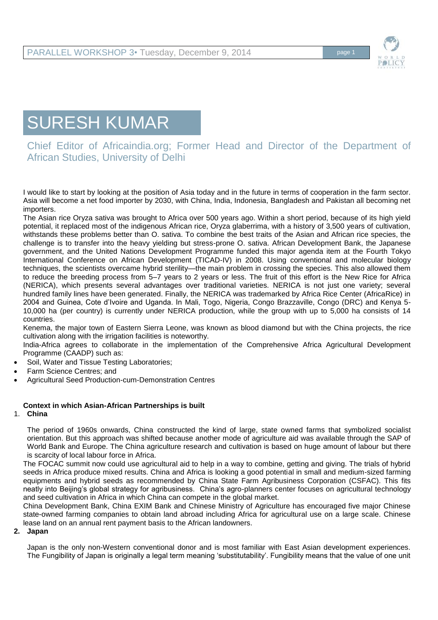

# SURESH KUMAR

Chief Editor of Africaindia.org; Former Head and Director of the Department of African Studies, University of Delhi

I would like to start by looking at the position of Asia today and in the future in terms of cooperation in the farm sector. Asia will become a net food importer by 2030, with China, India, Indonesia, Bangladesh and Pakistan all becoming net importers.

The Asian rice Oryza sativa was brought to Africa over 500 years ago. Within a short period, because of its high yield potential, it replaced most of the indigenous African rice, Oryza glaberrima, with a history of 3,500 years of cultivation, withstands these problems better than O. sativa. To combine the best traits of the Asian and African rice species, the challenge is to transfer into the heavy yielding but stress-prone O. sativa. African Development Bank, the Japanese government, and the United Nations Development Programme funded this major agenda item at the Fourth Tokyo International Conference on African Development (TICAD-IV) in 2008. Using conventional and molecular biology techniques, the scientists overcame hybrid sterility—the main problem in crossing the species. This also allowed them to reduce the breeding process from 5–7 years to 2 years or less. The fruit of this effort is the New Rice for Africa (NERICA), which presents several advantages over traditional varieties. NERICA is not just one variety; several hundred family lines have been generated. Finally, the NERICA was trademarked by Africa Rice Center (AfricaRice) in 2004 and Guinea, Cote d'Ivoire and Uganda. In Mali, Togo, Nigeria, Congo Brazzaville, Congo (DRC) and Kenya 5- 10,000 ha (per country) is currently under NERICA production, while the group with up to 5,000 ha consists of 14 countries.

Kenema, the major town of Eastern Sierra Leone, was known as blood diamond but with the China projects, the rice cultivation along with the irrigation facilities is noteworthy.

India-Africa agrees to collaborate in the implementation of the Comprehensive Africa Agricultural Development Programme (CAADP) such as:

- Soil, Water and Tissue Testing Laboratories;
- Farm Science Centres; and
- Agricultural Seed Production-cum-Demonstration Centres

#### **Context in which Asian-African Partnerships is built**

1. **China** 

The period of 1960s onwards, China constructed the kind of large, state owned farms that symbolized socialist orientation. But this approach was shifted because another mode of agriculture aid was available through the SAP of World Bank and Europe. The China agriculture research and cultivation is based on huge amount of labour but there is scarcity of local labour force in Africa.

The FOCAC summit now could use agricultural aid to help in a way to combine, getting and giving. The trials of hybrid seeds in Africa produce mixed results. China and Africa is looking a good potential in small and medium-sized farming equipments and hybrid seeds as recommended by China State Farm Agribusiness Corporation (CSFAC). This fits neatly into Beijing's global strategy for agribusiness. China's agro-planners center focuses on agricultural technology and seed cultivation in Africa in which China can compete in the global market.

China Development Bank, China EXIM Bank and Chinese Ministry of Agriculture has encouraged five major Chinese state-owned farming companies to obtain land abroad including Africa for agricultural use on a large scale. Chinese lease land on an annual rent payment basis to the African landowners.

**2. Japan** 

Japan is the only non-Western conventional donor and is most familiar with East Asian development experiences. The Fungibility of Japan is originally a legal term meaning 'substitutability'. Fungibility means that the value of one unit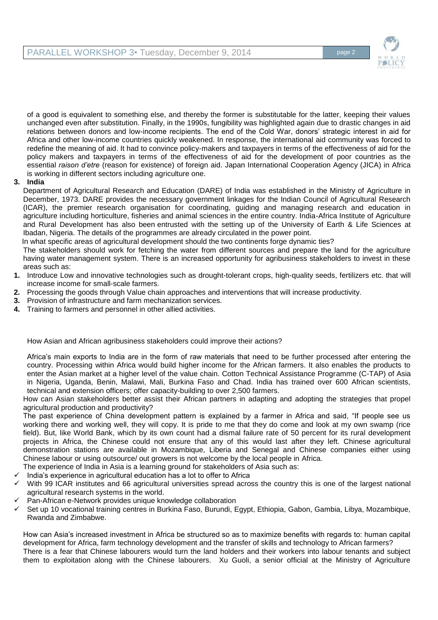

of a good is equivalent to something else, and thereby the former is substitutable for the latter, keeping their values unchanged even after substitution. Finally, in the 1990s, fungibility was highlighted again due to drastic changes in aid relations between donors and low-income recipients. The end of the Cold War, donors' strategic interest in aid for Africa and other low-income countries quickly weakened. In response, the international aid community was forced to redefine the meaning of aid. It had to convince policy-makers and taxpayers in terms of the effectiveness of aid for the policy makers and taxpayers in terms of the effectiveness of aid for the development of poor countries as the essential *raison d'etre* (reason for existence) of foreign aid. Japan International Cooperation Agency (JICA) in Africa is working in different sectors including agriculture one.

## **3. India**

Department of Agricultural Research and Education (DARE) of India was established in the Ministry of Agriculture in December, 1973. DARE provides the necessary government linkages for the Indian Council of Agricultural Research (ICAR), the premier research organisation for coordinating, guiding and managing research and education in agriculture including horticulture, fisheries and animal sciences in the entire country. India-Africa Institute of Agriculture and Rural Development has also been entrusted with the setting up of the University of Earth & Life Sciences at Ibadan, Nigeria. The details of the programmes are already circulated in the power point.

In what specific areas of agricultural development should the two continents forge dynamic ties?

The stakeholders should work for fetching the water from different sources and prepare the land for the agriculture having water management system. There is an increased opportunity for agribusiness stakeholders to invest in these areas such as:

- **1.** Introduce Low and innovative technologies such as drought-tolerant crops, high-quality seeds, fertilizers etc. that will increase income for small-scale farmers.
- **2.** Processing the goods through Value chain approaches and interventions that will increase productivity.
- **3.** Provision of infrastructure and farm mechanization services.
- **4.** Training to farmers and personnel in other allied activities.

How Asian and African agribusiness stakeholders could improve their actions?

Africa's main exports to India are in the form of raw materials that need to be further processed after entering the country. Processing within Africa would build higher income for the African farmers. It also enables the products to enter the Asian market at a higher level of the value chain. Cotton Technical Assistance Programme (C-TAP) of Asia in Nigeria, Uganda, Benin, Malawi, Mali, Burkina Faso and Chad. India has trained over 600 African scientists, technical and extension officers; offer capacity-building to over 2,500 farmers.

How can Asian stakeholders better assist their African partners in adapting and adopting the strategies that propel agricultural production and productivity?

The past experience of China development pattern is explained by a farmer in Africa and said, "If people see us working there and working well, they will copy. It is pride to me that they do come and look at my own swamp (rice field). But, like World Bank, which by its own count had a dismal failure rate of 50 percent for its rural development projects in Africa, the Chinese could not ensure that any of this would last after they left. Chinese agricultural demonstration stations are available in Mozambique, Liberia and Senegal and Chinese companies either using Chinese labour or using outsource/ out growers is not welcome by the local people in Africa.

- The experience of India in Asia is a learning ground for stakeholders of Asia such as:
- India's experience in agricultural education has a lot to offer to Africa
- With 99 ICAR institutes and 66 agricultural universities spread across the country this is one of the largest national agricultural research systems in the world.
- Pan-African e-Network provides unique knowledge collaboration
- Set up 10 vocational training centres in Burkina Faso, Burundi, Egypt, Ethiopia, Gabon, Gambia, Libya, Mozambique, Rwanda and Zimbabwe.

How can Asia's increased investment in Africa be structured so as to maximize benefits with regards to: human capital development for Africa, farm technology development and the transfer of skills and technology to African farmers? There is a fear that Chinese labourers would turn the land holders and their workers into labour tenants and subject them to exploitation along with the Chinese labourers. Xu Guoli, a senior official at the Ministry of Agriculture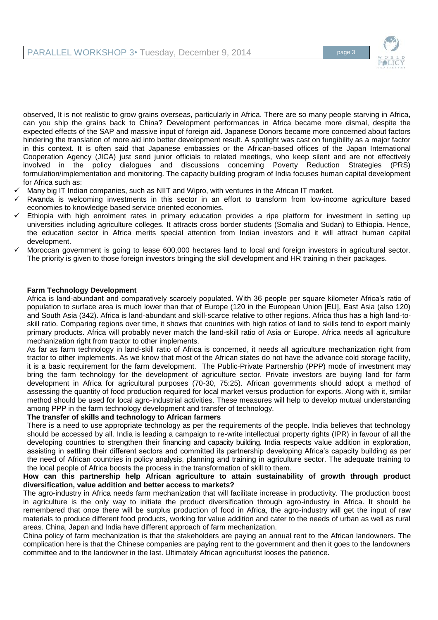

observed, It is not realistic to grow grains overseas, particularly in Africa. There are so many people starving in Africa, can you ship the grains back to China? Development performances in Africa became more dismal, despite the expected effects of the SAP and massive input of foreign aid. Japanese Donors became more concerned about factors hindering the translation of more aid into better development result. A spotlight was cast on fungibility as a major factor in this context. It is often said that Japanese embassies or the African-based offices of the Japan International Cooperation Agency (JICA) just send junior officials to related meetings, who keep silent and are not effectively involved in the policy dialogues and discussions concerning Poverty Reduction Strategies (PRS) formulation/implementation and monitoring. The capacity building program of India focuses human capital development for Africa such as:

- Many big IT Indian companies, such as NIIT and Wipro, with ventures in the African IT market.
- Rwanda is welcoming investments in this sector in an effort to transform from low-income agriculture based economies to knowledge based service oriented economies.
- Ethiopia with high enrolment rates in primary education provides a ripe platform for investment in setting up universities including agriculture colleges. It attracts cross border students (Somalia and Sudan) to Ethiopia. Hence, the education sector in Africa merits special attention from Indian investors and it will attract human capital development.
- Moroccan government is going to lease 600,000 hectares land to local and foreign investors in agricultural sector. The priority is given to those foreign investors bringing the skill development and HR training in their packages.

#### **Farm Technology Development**

Africa is land-abundant and comparatively scarcely populated. With 36 people per square kilometer Africa's ratio of population to surface area is much lower than that of Europe (120 in the European Union [EU], East Asia (also 120) and South Asia (342). Africa is land-abundant and skill-scarce relative to other regions. Africa thus has a high land-toskill ratio. Comparing regions over time, it shows that countries with high ratios of land to skills tend to export mainly primary products. Africa will probably never match the land-skill ratio of Asia or Europe. Africa needs all agriculture mechanization right from tractor to other implements.

As far as farm technology in land-skill ratio of Africa is concerned, it needs all agriculture mechanization right from tractor to other implements. As we know that most of the African states do not have the advance cold storage facility, it is a basic requirement for the farm development. The Public-Private Partnership (PPP) mode of investment may bring the farm technology for the development of agriculture sector. Private investors are buying land for farm development in Africa for agricultural purposes (70-30, 75:25). African governments should adopt a method of assessing the quantity of food production required for local market versus production for exports. Along with it, similar method should be used for local agro-industrial activities. These measures will help to develop mutual understanding among PPP in the farm technology development and transfer of technology.

#### **The transfer of skills and technology to African farmers**

There is a need to use appropriate technology as per the requirements of the people. India believes that technology should be accessed by all. India is leading a campaign to re-write intellectual property rights (IPR) in favour of all the developing countries to strengthen their financing and capacity building. India respects value addition in exploration, assisting in settling their different sectors and committed its partnership developing Africa's capacity building as per the need of African countries in policy analysis, planning and training in agriculture sector. The adequate training to the local people of Africa boosts the process in the transformation of skill to them.

#### **How can this partnership help African agriculture to attain sustainability of growth through product diversification, value addition and better access to markets?**

The agro-industry in Africa needs farm mechanization that will facilitate increase in productivity. The production boost in agriculture is the only way to initiate the product diversification through agro-industry in Africa. It should be remembered that once there will be surplus production of food in Africa, the agro-industry will get the input of raw materials to produce different food products, working for value addition and cater to the needs of urban as well as rural areas. China, Japan and India have different approach of farm mechanization.

China policy of farm mechanization is that the stakeholders are paying an annual rent to the African landowners. The complication here is that the Chinese companies are paying rent to the government and then it goes to the landowners committee and to the landowner in the last. Ultimately African agriculturist looses the patience.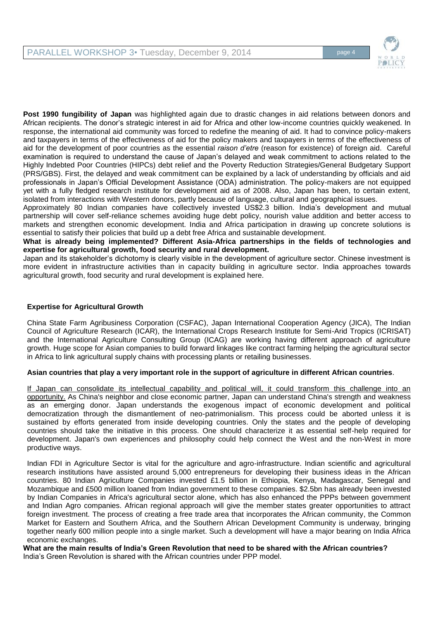

**Post 1990 fungibility of Japan** was highlighted again due to drastic changes in aid relations between donors and African recipients. The donor's strategic interest in aid for Africa and other low-income countries quickly weakened. In response, the international aid community was forced to redefine the meaning of aid. It had to convince policy-makers and taxpayers in terms of the effectiveness of aid for the policy makers and taxpayers in terms of the effectiveness of aid for the development of poor countries as the essential *raison d'etre* (reason for existence) of foreign aid. Careful examination is required to understand the cause of Japan's delayed and weak commitment to actions related to the Highly Indebted Poor Countries (HIPCs) debt relief and the Poverty Reduction Strategies/General Budgetary Support (PRS/GBS). First, the delayed and weak commitment can be explained by a lack of understanding by officials and aid professionals in Japan's Official Development Assistance (ODA) administration. The policy-makers are not equipped yet with a fully fledged research institute for development aid as of 2008. Also, Japan has been, to certain extent, isolated from interactions with Western donors, partly because of language, cultural and geographical issues.

Approximately 80 Indian companies have collectively invested US\$2.3 billion. India's development and mutual partnership will cover self-reliance schemes avoiding huge debt policy, nourish value addition and better access to markets and strengthen economic development. India and Africa participation in drawing up concrete solutions is essential to satisfy their policies that build up a debt free Africa and sustainable development.

**What is already being implemented? Different Asia-Africa partnerships in the fields of technologies and expertise for agricultural growth, food security and rural development.**

Japan and its stakeholder's dichotomy is clearly visible in the development of agriculture sector. Chinese investment is more evident in infrastructure activities than in capacity building in agriculture sector. India approaches towards agricultural growth, food security and rural development is explained here.

# **Expertise for Agricultural Growth**

China State Farm Agribusiness Corporation (CSFAC), Japan International Cooperation Agency (JICA), The Indian Council of Agriculture Research (ICAR), the International Crops Research Institute for Semi-Arid Tropics (ICRISAT) and the International Agriculture Consulting Group (ICAG) are working having different approach of agriculture growth. Huge scope for Asian companies to build forward linkages like contract farming helping the agricultural sector in Africa to link agricultural supply chains with processing plants or retailing businesses.

## **Asian countries that play a very important role in the support of agriculture in different African countries**.

If Japan can consolidate its intellectual capability and political will, it could transform this challenge into an opportunity. As China's neighbor and close economic partner, Japan can understand China's strength and weakness as an emerging donor. Japan understands the exogenous impact of economic development and political democratization through the dismantlement of neo-patrimonialism. This process could be aborted unless it is sustained by efforts generated from inside developing countries. Only the states and the people of developing countries should take the initiative in this process. One should characterize it as essential self-help required for development. Japan's own experiences and philosophy could help connect the West and the non-West in more productive ways.

Indian FDI in Agriculture Sector is vital for the agriculture and agro-infrastructure. Indian scientific and agricultural research institutions have assisted around 5,000 entrepreneurs for developing their business ideas in the African countries. 80 Indian Agriculture Companies invested £1.5 billion in Ethiopia, Kenya, Madagascar, Senegal and Mozambique and £500 million loaned from Indian government to these companies. \$2.5bn has already been invested by Indian Companies in Africa's agricultural sector alone, which has also enhanced the PPPs between government and Indian Agro companies. African regional approach will give the member states greater opportunities to attract foreign investment. The process of creating a free trade area that incorporates the African community, the Common Market for Eastern and Southern Africa, and the Southern African Development Community is underway, bringing together nearly 600 million people into a single market. Such a development will have a major bearing on India Africa economic exchanges.

**What are the main results of India's Green Revolution that need to be shared with the African countries?**  India's Green Revolution is shared with the African countries under PPP model.